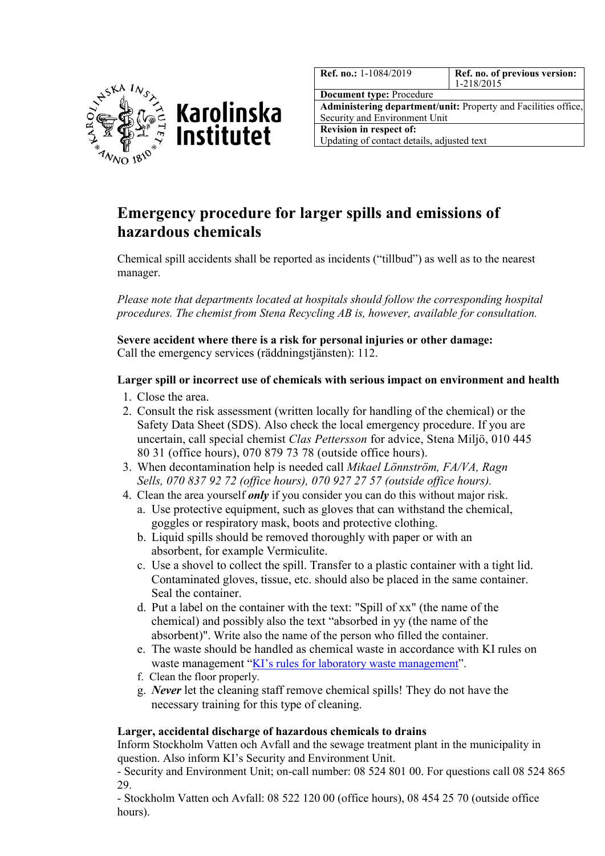



| <b>Ref. no.: 1-1084/2019</b>                                          | Ref. no. of previous version:<br>$1 - 218/2015$ |
|-----------------------------------------------------------------------|-------------------------------------------------|
| <b>Document type: Procedure</b>                                       |                                                 |
| <b>Administering department/unit:</b> Property and Facilities office, |                                                 |
|                                                                       |                                                 |

Security and Environment Unit **Revision in respect of:** Updating of contact details, adjusted text

## **Emergency procedure for larger spills and emissions of hazardous chemicals**

Chemical spill accidents shall be reported as incidents ("tillbud") as well as to the nearest manager.

*Please note that departments located at hospitals should follow the corresponding hospital procedures. The chemist from Stena Recycling AB is, however, available for consultation.*

**Severe accident where there is a risk for personal injuries or other damage:** Call the emergency services (räddningstjänsten): 112.

## **Larger spill or incorrect use of chemicals with serious impact on environment and health**

- 1. Close the area.
- 2. Consult the risk assessment (written locally for handling of the chemical) or the Safety Data Sheet (SDS). Also check the local emergency procedure. If you are uncertain, call special chemist *Clas Pettersson* for advice, Stena Miljö, 010 445 80 31 (office hours), 070 879 73 78 (outside office hours).
- 3. When decontamination help is needed call *Mikael Lönnström, FA/VA, Ragn Sells, 070 837 92 72 (office hours), 070 927 27 57 (outside office hours).*
- 4. Clean the area yourself *only* if you consider you can do this without major risk.
	- a. Use protective equipment, such as gloves that can withstand the chemical, goggles or respiratory mask, boots and protective clothing.
	- b. Liquid spills should be removed thoroughly with paper or with an absorbent, for example Vermiculite.
	- c. Use a shovel to collect the spill. Transfer to a plastic container with a tight lid. Contaminated gloves, tissue, etc. should also be placed in the same container. Seal the container.
	- d. Put a label on the container with the text: "Spill of xx" (the name of the chemical) and possibly also the text "absorbed in yy (the name of the absorbent)". Write also the name of the person who filled the container.
	- e. The waste should be handled as chemical waste in accordance with KI rules on waste management ["KI's rules for laboratory waste management"](https://staff.ki.se/laboratory-waste).
	- f. Clean the floor properly.
	- g. *Never* let the cleaning staff remove chemical spills! They do not have the necessary training for this type of cleaning.

## **Larger, accidental discharge of hazardous chemicals to drains**

Inform Stockholm Vatten och Avfall and the sewage treatment plant in the municipality in question. Also inform KI's Security and Environment Unit.

- Security and Environment Unit; on-call number: 08 524 801 00. For questions call 08 524 865 29.

- Stockholm Vatten och Avfall: 08 522 120 00 (office hours), 08 454 25 70 (outside office hours).